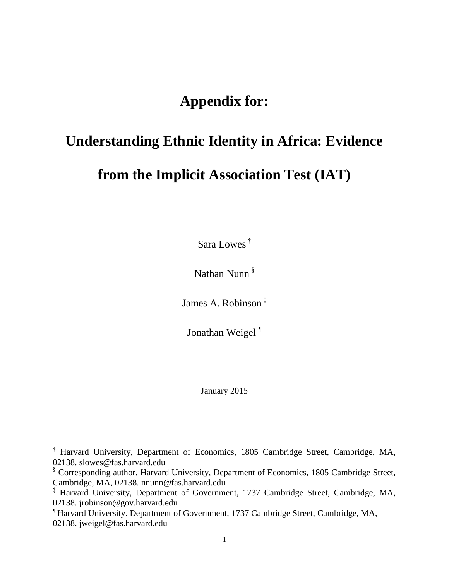# **Appendix for:**

# **Understanding Ethnic Identity in Africa: Evidence**

# **from the Implicit Association Test (IAT)**

Sara Lowes †

Nathan Nunn §

James A. Robinson ‡

Jonathan Weigel<sup>¶</sup>

January 2015

 $\overline{\phantom{a}}$ 

<sup>†</sup> Harvard University, Department of Economics, 1805 Cambridge Street, Cambridge, MA, 02138. slowes@fas.harvard.edu

<sup>§</sup> Corresponding author. Harvard University, Department of Economics, 1805 Cambridge Street, Cambridge, MA, 02138. nnunn@fas.harvard.edu

<sup>‡</sup> Harvard University, Department of Government, 1737 Cambridge Street, Cambridge, MA, 02138. jrobinson@gov.harvard.edu

<sup>¶</sup> Harvard University. Department of Government, 1737 Cambridge Street, Cambridge, MA, 02138. jweigel@fas.harvard.edu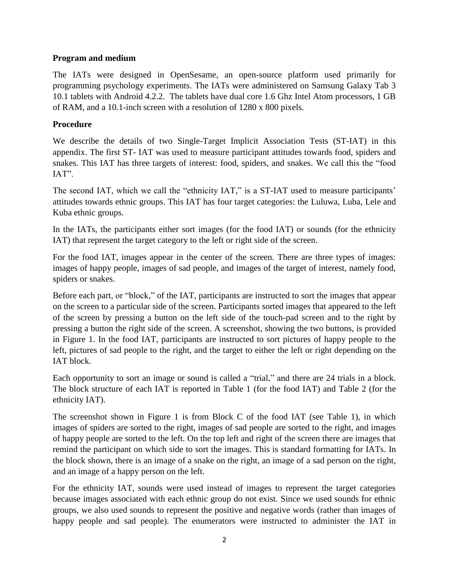#### **Program and medium**

The IATs were designed in OpenSesame, an open-source platform used primarily for programming psychology experiments. The IATs were administered on Samsung Galaxy Tab 3 10.1 tablets with Android 4.2.2. The tablets have dual core 1.6 Ghz Intel Atom processors, 1 GB of RAM, and a 10.1-inch screen with a resolution of 1280 x 800 pixels.

#### **Procedure**

We describe the details of two Single-Target Implicit Association Tests (ST-IAT) in this appendix. The first ST- IAT was used to measure participant attitudes towards food, spiders and snakes. This IAT has three targets of interest: food, spiders, and snakes. We call this the "food IAT".

The second IAT, which we call the "ethnicity IAT," is a ST-IAT used to measure participants' attitudes towards ethnic groups. This IAT has four target categories: the Luluwa, Luba, Lele and Kuba ethnic groups.

In the IATs, the participants either sort images (for the food IAT) or sounds (for the ethnicity IAT) that represent the target category to the left or right side of the screen.

For the food IAT, images appear in the center of the screen. There are three types of images: images of happy people, images of sad people, and images of the target of interest, namely food, spiders or snakes.

Before each part, or "block," of the IAT, participants are instructed to sort the images that appear on the screen to a particular side of the screen. Participants sorted images that appeared to the left of the screen by pressing a button on the left side of the touch-pad screen and to the right by pressing a button the right side of the screen. A screenshot, showing the two buttons, is provided in Figure 1. In the food IAT, participants are instructed to sort pictures of happy people to the left, pictures of sad people to the right, and the target to either the left or right depending on the IAT block.

Each opportunity to sort an image or sound is called a "trial," and there are 24 trials in a block. The block structure of each IAT is reported in Table 1 (for the food IAT) and Table 2 (for the ethnicity IAT).

The screenshot shown in Figure 1 is from Block C of the food IAT (see Table 1), in which images of spiders are sorted to the right, images of sad people are sorted to the right, and images of happy people are sorted to the left. On the top left and right of the screen there are images that remind the participant on which side to sort the images. This is standard formatting for IATs. In the block shown, there is an image of a snake on the right, an image of a sad person on the right, and an image of a happy person on the left.

For the ethnicity IAT, sounds were used instead of images to represent the target categories because images associated with each ethnic group do not exist. Since we used sounds for ethnic groups, we also used sounds to represent the positive and negative words (rather than images of happy people and sad people). The enumerators were instructed to administer the IAT in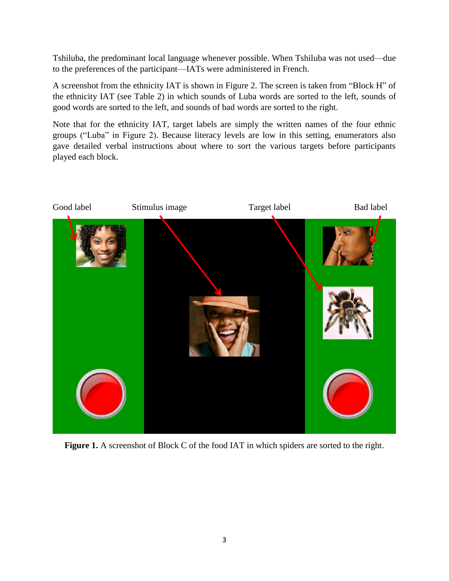Tshiluba, the predominant local language whenever possible. When Tshiluba was not used—due to the preferences of the participant—IATs were administered in French.

A screenshot from the ethnicity IAT is shown in Figure 2. The screen is taken from "Block H" of the ethnicity IAT (see Table 2) in which sounds of Luba words are sorted to the left, sounds of good words are sorted to the left, and sounds of bad words are sorted to the right.

Note that for the ethnicity IAT, target labels are simply the written names of the four ethnic groups ("Luba" in Figure 2). Because literacy levels are low in this setting, enumerators also gave detailed verbal instructions about where to sort the various targets before participants played each block.



Figure 1. A screenshot of Block C of the food IAT in which spiders are sorted to the right.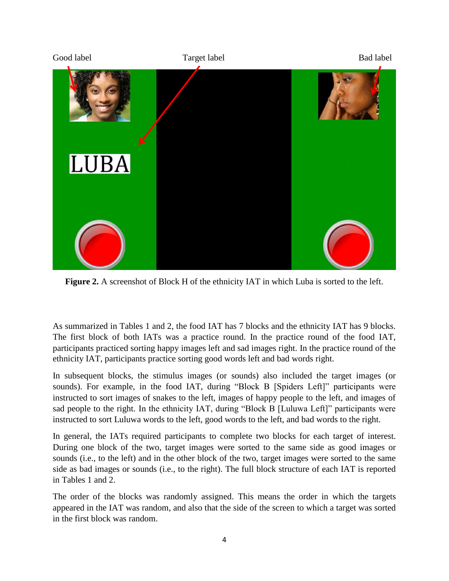

**Figure 2.** A screenshot of Block H of the ethnicity IAT in which Luba is sorted to the left.

As summarized in Tables 1 and 2, the food IAT has 7 blocks and the ethnicity IAT has 9 blocks. The first block of both IATs was a practice round. In the practice round of the food IAT, participants practiced sorting happy images left and sad images right. In the practice round of the ethnicity IAT, participants practice sorting good words left and bad words right.

In subsequent blocks, the stimulus images (or sounds) also included the target images (or sounds). For example, in the food IAT, during "Block B [Spiders Left]" participants were instructed to sort images of snakes to the left, images of happy people to the left, and images of sad people to the right. In the ethnicity IAT, during "Block B [Luluwa Left]" participants were instructed to sort Luluwa words to the left, good words to the left, and bad words to the right.

In general, the IATs required participants to complete two blocks for each target of interest. During one block of the two, target images were sorted to the same side as good images or sounds (i.e., to the left) and in the other block of the two, target images were sorted to the same side as bad images or sounds (i.e., to the right). The full block structure of each IAT is reported in Tables 1 and 2.

The order of the blocks was randomly assigned. This means the order in which the targets appeared in the IAT was random, and also that the side of the screen to which a target was sorted in the first block was random.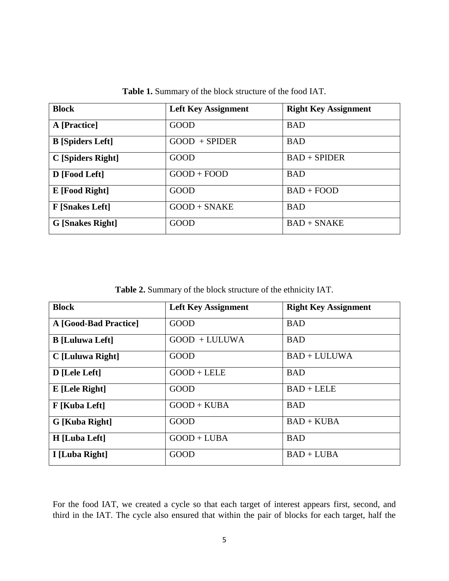| <b>Block</b>            | <b>Left Key Assignment</b> | <b>Right Key Assignment</b> |
|-------------------------|----------------------------|-----------------------------|
| A [Practice]            | GOOD                       | <b>BAD</b>                  |
| <b>B</b> [Spiders Left] | $GOOD + SPIDER$            | <b>BAD</b>                  |
| C [Spiders Right]       | GOOD                       | $BAD + SPIDER$              |
| D [Food Left]           | $GOOD + FOOD$              | <b>BAD</b>                  |
| E [Food Right]          | <b>GOOD</b>                | $BAD + FOOD$                |
| <b>F</b> [Snakes Left]  | $GOOD + SNAKE$             | <b>BAD</b>                  |
| <b>G</b> [Snakes Right] | <b>GOOD</b>                | $BAD + SNAKE$               |

**Table 1.** Summary of the block structure of the food IAT.

**Table 2.** Summary of the block structure of the ethnicity IAT.

| <b>Block</b>           | <b>Left Key Assignment</b> | <b>Right Key Assignment</b> |
|------------------------|----------------------------|-----------------------------|
| A [Good-Bad Practice]  | <b>GOOD</b>                | <b>BAD</b>                  |
| <b>B</b> [Luluwa Left] | $GOOD + LULUWA$            | <b>BAD</b>                  |
| C [Luluwa Right]       | <b>GOOD</b>                | $BAD + LULUWA$              |
| D [Lele Left]          | $GOOD + L ELE$             | <b>BAD</b>                  |
| E [Lele Right]         | <b>GOOD</b>                | $BAD + LELE$                |
| F [Kuba Left]          | $GOOD + KUBA$              | <b>BAD</b>                  |
| G [Kuba Right]         | <b>GOOD</b>                | $BAD + KUBA$                |
| H [Luba Left]          | $GOOD + LUBA$              | <b>BAD</b>                  |
| I [Luba Right]         | <b>GOOD</b>                | $BAD + LUBA$                |

For the food IAT, we created a cycle so that each target of interest appears first, second, and third in the IAT. The cycle also ensured that within the pair of blocks for each target, half the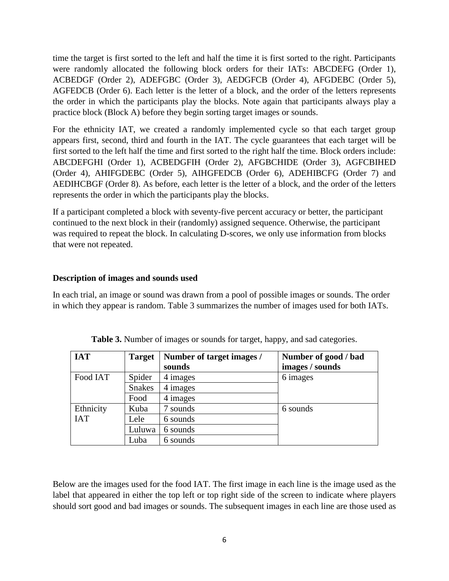time the target is first sorted to the left and half the time it is first sorted to the right. Participants were randomly allocated the following block orders for their IATs: ABCDEFG (Order 1), ACBEDGF (Order 2), ADEFGBC (Order 3), AEDGFCB (Order 4), AFGDEBC (Order 5), AGFEDCB (Order 6). Each letter is the letter of a block, and the order of the letters represents the order in which the participants play the blocks. Note again that participants always play a practice block (Block A) before they begin sorting target images or sounds.

For the ethnicity IAT, we created a randomly implemented cycle so that each target group appears first, second, third and fourth in the IAT. The cycle guarantees that each target will be first sorted to the left half the time and first sorted to the right half the time. Block orders include: ABCDEFGHI (Order 1), ACBEDGFIH (Order 2), AFGBCHIDE (Order 3), AGFCBIHED (Order 4), AHIFGDEBC (Order 5), AIHGFEDCB (Order 6), ADEHIBCFG (Order 7) and AEDIHCBGF (Order 8). As before, each letter is the letter of a block, and the order of the letters represents the order in which the participants play the blocks.

If a participant completed a block with seventy-five percent accuracy or better, the participant continued to the next block in their (randomly) assigned sequence. Otherwise, the participant was required to repeat the block. In calculating D-scores, we only use information from blocks that were not repeated.

#### **Description of images and sounds used**

In each trial, an image or sound was drawn from a pool of possible images or sounds. The order in which they appear is random. Table 3 summarizes the number of images used for both IATs.

| <b>IAT</b> | <b>Target</b> | Number of target images / | Number of good / bad |
|------------|---------------|---------------------------|----------------------|
|            |               | sounds                    | images / sounds      |
| Food IAT   | Spider        | 4 images                  | 6 images             |
|            | <b>Snakes</b> | 4 images                  |                      |
|            | Food          | 4 images                  |                      |
| Ethnicity  | Kuba          | sounds                    | 6 sounds             |
| <b>IAT</b> | Lele          | 6 sounds                  |                      |
|            | Luluwa        | 6 sounds                  |                      |
|            | Luba          | 6 sounds                  |                      |

**Table 3.** Number of images or sounds for target, happy, and sad categories.

Below are the images used for the food IAT. The first image in each line is the image used as the label that appeared in either the top left or top right side of the screen to indicate where players should sort good and bad images or sounds. The subsequent images in each line are those used as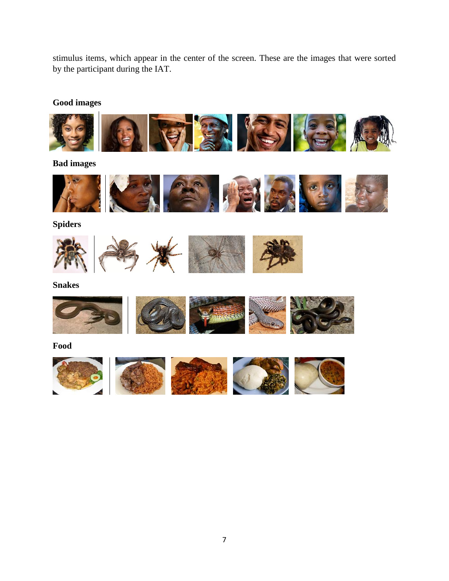stimulus items, which appear in the center of the screen. These are the images that were sorted by the participant during the IAT.

**Good images**



**Bad images**



**Spiders**



**Snakes**



**Food** 

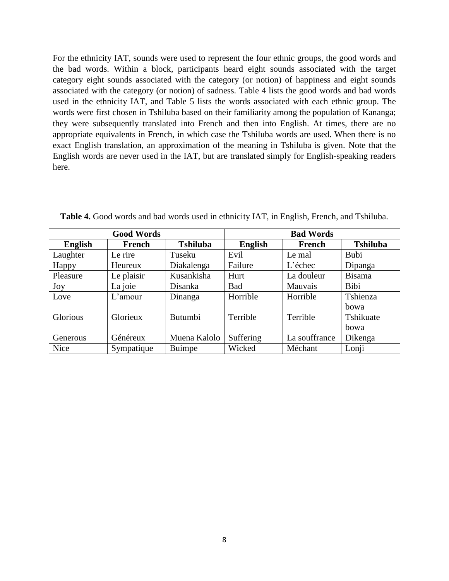For the ethnicity IAT, sounds were used to represent the four ethnic groups, the good words and the bad words. Within a block, participants heard eight sounds associated with the target category eight sounds associated with the category (or notion) of happiness and eight sounds associated with the category (or notion) of sadness. Table 4 lists the good words and bad words used in the ethnicity IAT, and Table 5 lists the words associated with each ethnic group. The words were first chosen in Tshiluba based on their familiarity among the population of Kananga; they were subsequently translated into French and then into English. At times, there are no appropriate equivalents in French, in which case the Tshiluba words are used. When there is no exact English translation, an approximation of the meaning in Tshiluba is given. Note that the English words are never used in the IAT, but are translated simply for English-speaking readers here.

| <b>Good Words</b> |            | <b>Bad Words</b> |                |               |                 |
|-------------------|------------|------------------|----------------|---------------|-----------------|
| <b>English</b>    | French     | <b>Tshiluba</b>  | <b>English</b> | French        | <b>Tshiluba</b> |
| Laughter          | Le rire    | Tuseku           | Evil           | Le mal        | <b>Bubi</b>     |
| Happy             | Heureux    | Diakalenga       | Failure        | $L$ 'échec    | Dipanga         |
| Pleasure          | Le plaisir | Kusankisha       | Hurt           | La douleur    | Bisama          |
| Joy               | La joie    | Disanka          | <b>Bad</b>     | Mauvais       | Bibi            |
| Love              | L'amour    | Dinanga          | Horrible       | Horrible      | Tshienza        |
|                   |            |                  |                |               | bowa            |
| Glorious          | Glorieux   | <b>Butumbi</b>   | Terrible       | Terrible      | Tshikuate       |
|                   |            |                  |                |               | bowa            |
| Generous          | Généreux   | Muena Kalolo     | Suffering      | La souffrance | Dikenga         |
| Nice              | Sympatique | <b>Buimpe</b>    | Wicked         | Méchant       | Lonji           |

**Table 4.** Good words and bad words used in ethnicity IAT, in English, French, and Tshiluba.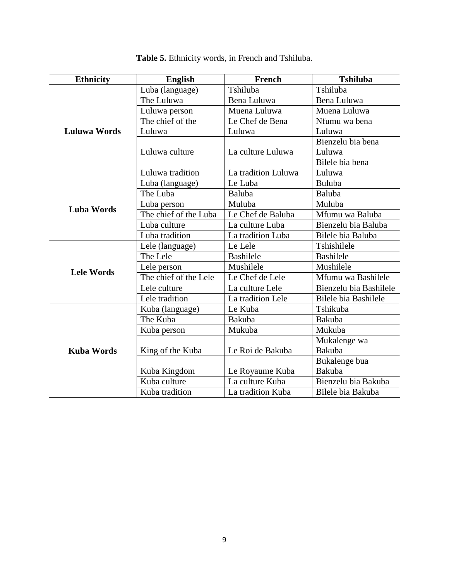| Ethnicity           | <b>English</b>                                                                                                                                                                                                                                                                                                                     | French              | <b>Tshiluba</b>             |  |
|---------------------|------------------------------------------------------------------------------------------------------------------------------------------------------------------------------------------------------------------------------------------------------------------------------------------------------------------------------------|---------------------|-----------------------------|--|
|                     | Luba (language)                                                                                                                                                                                                                                                                                                                    | Tshiluba            | Tshiluba                    |  |
|                     | The Luluwa                                                                                                                                                                                                                                                                                                                         | Bena Luluwa         | Bena Luluwa                 |  |
|                     | Luluwa person                                                                                                                                                                                                                                                                                                                      | Muena Luluwa        | Muena Luluwa                |  |
|                     | The chief of the                                                                                                                                                                                                                                                                                                                   | Le Chef de Bena     | Nfumu wa bena               |  |
| <b>Luluwa Words</b> | Luluwa                                                                                                                                                                                                                                                                                                                             | Luluwa              | Luluwa                      |  |
|                     |                                                                                                                                                                                                                                                                                                                                    |                     | Bienzelu bia bena           |  |
|                     | Luluwa culture                                                                                                                                                                                                                                                                                                                     | La culture Luluwa   | Luluwa                      |  |
|                     |                                                                                                                                                                                                                                                                                                                                    |                     | Bilele bia bena             |  |
|                     | Luluwa tradition                                                                                                                                                                                                                                                                                                                   | La tradition Luluwa | Luluwa                      |  |
|                     | Luba (language)                                                                                                                                                                                                                                                                                                                    | Le Luba             | Buluba                      |  |
| <b>Luba Words</b>   | The Luba                                                                                                                                                                                                                                                                                                                           | Baluba              | Baluba                      |  |
|                     | Luba person                                                                                                                                                                                                                                                                                                                        | Muluba              | Muluba                      |  |
|                     |                                                                                                                                                                                                                                                                                                                                    |                     | Mfumu wa Baluba             |  |
|                     | Luba culture                                                                                                                                                                                                                                                                                                                       | La culture Luba     | Bienzelu bia Baluba         |  |
|                     |                                                                                                                                                                                                                                                                                                                                    |                     | Bilele bia Baluba           |  |
|                     | Lele (language)                                                                                                                                                                                                                                                                                                                    |                     | Tshishilele                 |  |
| <b>Lele Words</b>   |                                                                                                                                                                                                                                                                                                                                    |                     | <b>Bashilele</b>            |  |
|                     | The chief of the Luba<br>Le Chef de Baluba<br>Luba tradition<br>La tradition Luba<br>Le Lele<br>The Lele<br><b>Bashilele</b><br>Mushilele<br>Lele person<br>The chief of the Lele<br>Le Chef de Lele<br>La culture Lele<br>Lele culture<br>Lele tradition<br>La tradition Lele<br>Le Kuba<br>Kuba (language)<br>The Kuba<br>Bakuba |                     | Mushilele                   |  |
|                     |                                                                                                                                                                                                                                                                                                                                    |                     | Mfumu wa Bashilele          |  |
|                     |                                                                                                                                                                                                                                                                                                                                    |                     | Bienzelu bia Bashilele      |  |
|                     |                                                                                                                                                                                                                                                                                                                                    |                     | <b>Bilele bia Bashilele</b> |  |
|                     |                                                                                                                                                                                                                                                                                                                                    |                     | Tshikuba                    |  |
|                     |                                                                                                                                                                                                                                                                                                                                    |                     | <b>Bakuba</b>               |  |
| <b>Kuba Words</b>   | Kuba person                                                                                                                                                                                                                                                                                                                        | Mukuba              | Mukuba                      |  |
|                     |                                                                                                                                                                                                                                                                                                                                    |                     | Mukalenge wa                |  |
|                     | King of the Kuba                                                                                                                                                                                                                                                                                                                   | Le Roi de Bakuba    | Bakuba                      |  |
|                     |                                                                                                                                                                                                                                                                                                                                    |                     | Bukalenge bua               |  |
|                     | Kuba Kingdom                                                                                                                                                                                                                                                                                                                       | Le Royaume Kuba     | Bakuba                      |  |
|                     | Kuba culture                                                                                                                                                                                                                                                                                                                       | La culture Kuba     | Bienzelu bia Bakuba         |  |
|                     | Kuba tradition                                                                                                                                                                                                                                                                                                                     | La tradition Kuba   | Bilele bia Bakuba           |  |

**Table 5.** Ethnicity words, in French and Tshiluba.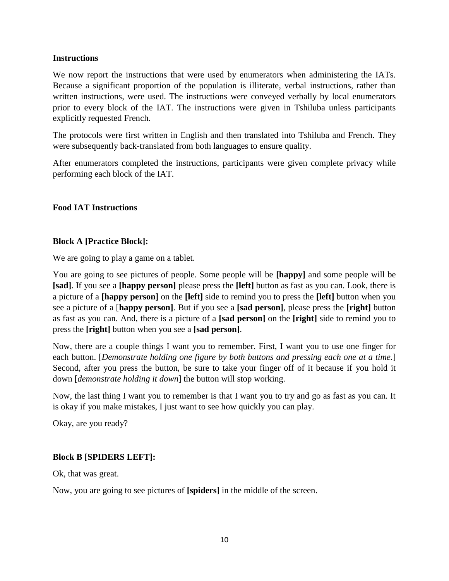#### **Instructions**

We now report the instructions that were used by enumerators when administering the IATs. Because a significant proportion of the population is illiterate, verbal instructions, rather than written instructions, were used. The instructions were conveyed verbally by local enumerators prior to every block of the IAT. The instructions were given in Tshiluba unless participants explicitly requested French.

The protocols were first written in English and then translated into Tshiluba and French. They were subsequently back-translated from both languages to ensure quality.

After enumerators completed the instructions, participants were given complete privacy while performing each block of the IAT.

# **Food IAT Instructions**

#### **Block A [Practice Block]:**

We are going to play a game on a tablet.

You are going to see pictures of people. Some people will be **[happy]** and some people will be **[sad]**. If you see a **[happy person]** please press the **[left]** button as fast as you can. Look, there is a picture of a **[happy person]** on the **[left]** side to remind you to press the **[left]** button when you see a picture of a [**happy person]**. But if you see a **[sad person]**, please press the **[right]** button as fast as you can. And, there is a picture of a **[sad person]** on the **[right]** side to remind you to press the **[right]** button when you see a **[sad person]**.

Now, there are a couple things I want you to remember. First, I want you to use one finger for each button. [*Demonstrate holding one figure by both buttons and pressing each one at a time.*] Second, after you press the button, be sure to take your finger off of it because if you hold it down [*demonstrate holding it down*] the button will stop working.

Now, the last thing I want you to remember is that I want you to try and go as fast as you can. It is okay if you make mistakes, I just want to see how quickly you can play.

Okay, are you ready?

# **Block B [SPIDERS LEFT]:**

Ok, that was great.

Now, you are going to see pictures of **[spiders]** in the middle of the screen.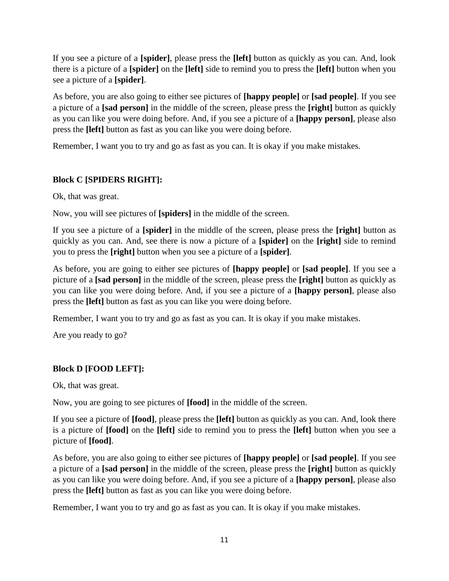If you see a picture of a **[spider]**, please press the **[left]** button as quickly as you can. And, look there is a picture of a **[spider]** on the **[left]** side to remind you to press the **[left]** button when you see a picture of a **[spider]**.

As before, you are also going to either see pictures of **[happy people]** or **[sad people]**. If you see a picture of a **[sad person]** in the middle of the screen, please press the **[right]** button as quickly as you can like you were doing before. And, if you see a picture of a **[happy person]**, please also press the **[left]** button as fast as you can like you were doing before.

Remember, I want you to try and go as fast as you can. It is okay if you make mistakes.

# **Block C [SPIDERS RIGHT]:**

Ok, that was great.

Now, you will see pictures of **[spiders]** in the middle of the screen.

If you see a picture of a **[spider]** in the middle of the screen, please press the **[right]** button as quickly as you can. And, see there is now a picture of a **[spider]** on the **[right]** side to remind you to press the **[right]** button when you see a picture of a **[spider]**.

As before, you are going to either see pictures of **[happy people]** or **[sad people]**. If you see a picture of a **[sad person]** in the middle of the screen, please press the **[right]** button as quickly as you can like you were doing before. And, if you see a picture of a **[happy person]**, please also press the **[left]** button as fast as you can like you were doing before.

Remember, I want you to try and go as fast as you can. It is okay if you make mistakes.

Are you ready to go?

# **Block D [FOOD LEFT]:**

Ok, that was great.

Now, you are going to see pictures of **[food]** in the middle of the screen.

If you see a picture of **[food]**, please press the **[left]** button as quickly as you can. And, look there is a picture of **[food]** on the **[left]** side to remind you to press the **[left]** button when you see a picture of **[food]**.

As before, you are also going to either see pictures of **[happy people]** or **[sad people]**. If you see a picture of a **[sad person]** in the middle of the screen, please press the **[right]** button as quickly as you can like you were doing before. And, if you see a picture of a **[happy person]**, please also press the **[left]** button as fast as you can like you were doing before.

Remember, I want you to try and go as fast as you can. It is okay if you make mistakes.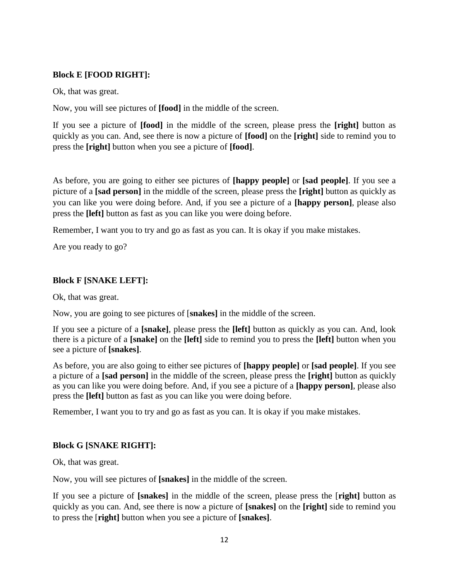# **Block E [FOOD RIGHT]:**

Ok, that was great.

Now, you will see pictures of **[food]** in the middle of the screen.

If you see a picture of **[food]** in the middle of the screen, please press the **[right]** button as quickly as you can. And, see there is now a picture of **[food]** on the **[right]** side to remind you to press the **[right]** button when you see a picture of **[food]**.

As before, you are going to either see pictures of **[happy people]** or **[sad people]**. If you see a picture of a **[sad person]** in the middle of the screen, please press the **[right]** button as quickly as you can like you were doing before. And, if you see a picture of a **[happy person]**, please also press the **[left]** button as fast as you can like you were doing before.

Remember, I want you to try and go as fast as you can. It is okay if you make mistakes.

Are you ready to go?

# **Block F [SNAKE LEFT]:**

Ok, that was great.

Now, you are going to see pictures of [**snakes]** in the middle of the screen.

If you see a picture of a **[snake]**, please press the **[left]** button as quickly as you can. And, look there is a picture of a **[snake]** on the **[left]** side to remind you to press the **[left]** button when you see a picture of **[snakes]**.

As before, you are also going to either see pictures of **[happy people]** or **[sad people]**. If you see a picture of a **[sad person]** in the middle of the screen, please press the **[right]** button as quickly as you can like you were doing before. And, if you see a picture of a **[happy person]**, please also press the **[left]** button as fast as you can like you were doing before.

Remember, I want you to try and go as fast as you can. It is okay if you make mistakes.

# **Block G [SNAKE RIGHT]:**

Ok, that was great.

Now, you will see pictures of **[snakes]** in the middle of the screen.

If you see a picture of **[snakes]** in the middle of the screen, please press the [**right]** button as quickly as you can. And, see there is now a picture of **[snakes]** on the **[right]** side to remind you to press the [**right]** button when you see a picture of **[snakes]**.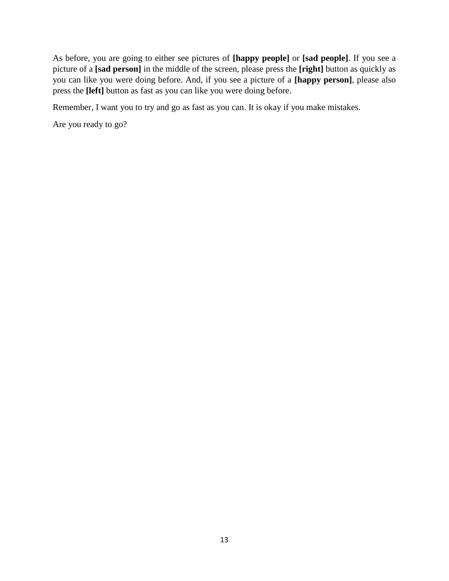As before, you are going to either see pictures of **[happy people]** or **[sad people]**. If you see a picture of a **[sad person]** in the middle of the screen, please press the **[right]** button as quickly as you can like you were doing before. And, if you see a picture of a **[happy person]**, please also press the **[left]** button as fast as you can like you were doing before.

Remember, I want you to try and go as fast as you can. It is okay if you make mistakes.

Are you ready to go?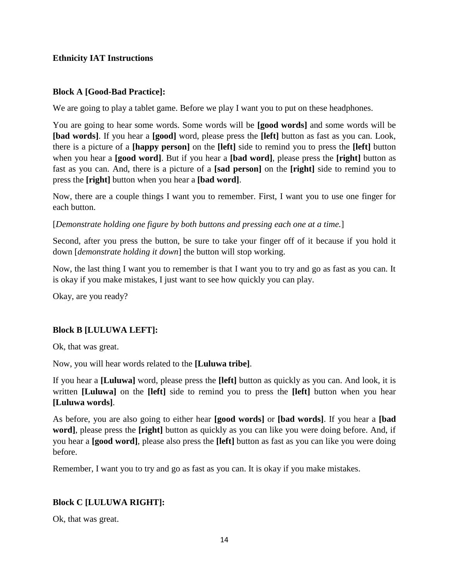#### **Ethnicity IAT Instructions**

#### **Block A [Good-Bad Practice]:**

We are going to play a tablet game. Before we play I want you to put on these headphones.

You are going to hear some words. Some words will be **[good words]** and some words will be **[bad words]**. If you hear a **[good]** word, please press the **[left]** button as fast as you can. Look, there is a picture of a **[happy person]** on the **[left]** side to remind you to press the **[left]** button when you hear a **[good word]**. But if you hear a **[bad word]**, please press the **[right]** button as fast as you can. And, there is a picture of a **[sad person]** on the **[right]** side to remind you to press the **[right]** button when you hear a **[bad word]**.

Now, there are a couple things I want you to remember. First, I want you to use one finger for each button.

[*Demonstrate holding one figure by both buttons and pressing each one at a time.*]

Second, after you press the button, be sure to take your finger off of it because if you hold it down [*demonstrate holding it down*] the button will stop working.

Now, the last thing I want you to remember is that I want you to try and go as fast as you can. It is okay if you make mistakes, I just want to see how quickly you can play.

Okay, are you ready?

# **Block B [LULUWA LEFT]:**

Ok, that was great.

Now, you will hear words related to the **[Luluwa tribe]**.

If you hear a **[Luluwa]** word, please press the **[left]** button as quickly as you can. And look, it is written **[Luluwa]** on the **[left]** side to remind you to press the **[left]** button when you hear **[Luluwa words]**.

As before, you are also going to either hear **[good words]** or **[bad words]**. If you hear a **[bad word]**, please press the **[right]** button as quickly as you can like you were doing before. And, if you hear a **[good word]**, please also press the **[left]** button as fast as you can like you were doing before.

Remember, I want you to try and go as fast as you can. It is okay if you make mistakes.

# **Block C [LULUWA RIGHT]:**

Ok, that was great.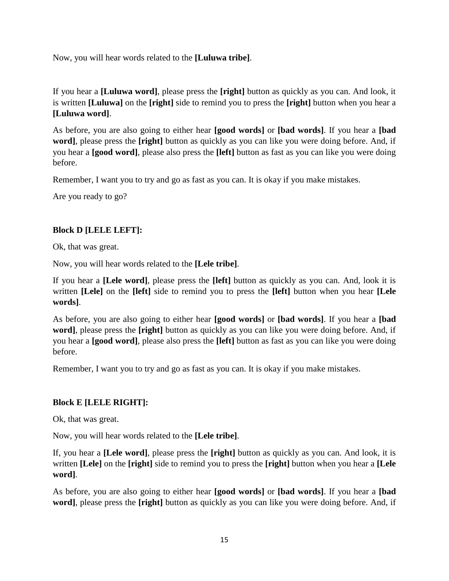Now, you will hear words related to the **[Luluwa tribe]**.

If you hear a **[Luluwa word]**, please press the **[right]** button as quickly as you can. And look, it is written **[Luluwa]** on the **[right]** side to remind you to press the **[right]** button when you hear a **[Luluwa word]**.

As before, you are also going to either hear **[good words]** or **[bad words]**. If you hear a **[bad word]**, please press the **[right]** button as quickly as you can like you were doing before. And, if you hear a **[good word]**, please also press the **[left]** button as fast as you can like you were doing before.

Remember, I want you to try and go as fast as you can. It is okay if you make mistakes.

Are you ready to go?

# **Block D [LELE LEFT]:**

Ok, that was great.

Now, you will hear words related to the **[Lele tribe]**.

If you hear a **[Lele word]**, please press the **[left]** button as quickly as you can. And, look it is written **[Lele]** on the **[left]** side to remind you to press the **[left]** button when you hear **[Lele words]**.

As before, you are also going to either hear **[good words]** or **[bad words]**. If you hear a **[bad word]**, please press the **[right]** button as quickly as you can like you were doing before. And, if you hear a **[good word]**, please also press the **[left]** button as fast as you can like you were doing before.

Remember, I want you to try and go as fast as you can. It is okay if you make mistakes.

# **Block E [LELE RIGHT]:**

Ok, that was great.

Now, you will hear words related to the **[Lele tribe]**.

If, you hear a **[Lele word]**, please press the **[right]** button as quickly as you can. And look, it is written **[Lele]** on the **[right]** side to remind you to press the **[right]** button when you hear a **[Lele word]**.

As before, you are also going to either hear **[good words]** or **[bad words]**. If you hear a **[bad word]**, please press the **[right]** button as quickly as you can like you were doing before. And, if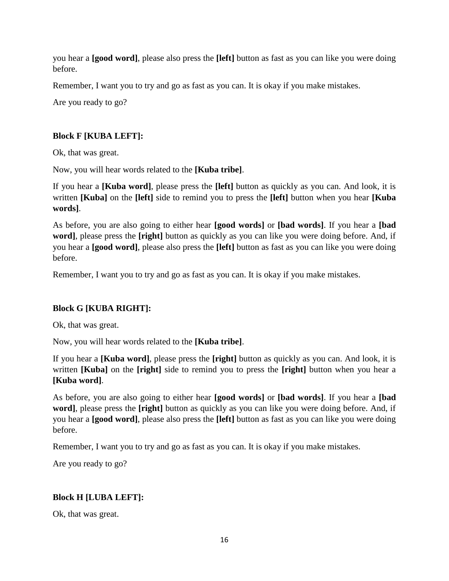you hear a **[good word]**, please also press the **[left]** button as fast as you can like you were doing before.

Remember, I want you to try and go as fast as you can. It is okay if you make mistakes.

Are you ready to go?

# **Block F [KUBA LEFT]:**

Ok, that was great.

Now, you will hear words related to the **[Kuba tribe]**.

If you hear a **[Kuba word]**, please press the **[left]** button as quickly as you can. And look, it is written **[Kuba]** on the **[left]** side to remind you to press the **[left]** button when you hear **[Kuba words]**.

As before, you are also going to either hear **[good words]** or **[bad words]**. If you hear a **[bad word]**, please press the **[right]** button as quickly as you can like you were doing before. And, if you hear a **[good word]**, please also press the **[left]** button as fast as you can like you were doing before.

Remember, I want you to try and go as fast as you can. It is okay if you make mistakes.

# **Block G [KUBA RIGHT]:**

Ok, that was great.

Now, you will hear words related to the **[Kuba tribe]**.

If you hear a **[Kuba word]**, please press the **[right]** button as quickly as you can. And look, it is written **[Kuba]** on the **[right]** side to remind you to press the **[right]** button when you hear a **[Kuba word]**.

As before, you are also going to either hear **[good words]** or **[bad words]**. If you hear a **[bad word]**, please press the **[right]** button as quickly as you can like you were doing before. And, if you hear a **[good word]**, please also press the **[left]** button as fast as you can like you were doing before.

Remember, I want you to try and go as fast as you can. It is okay if you make mistakes.

Are you ready to go?

#### **Block H [LUBA LEFT]:**

Ok, that was great.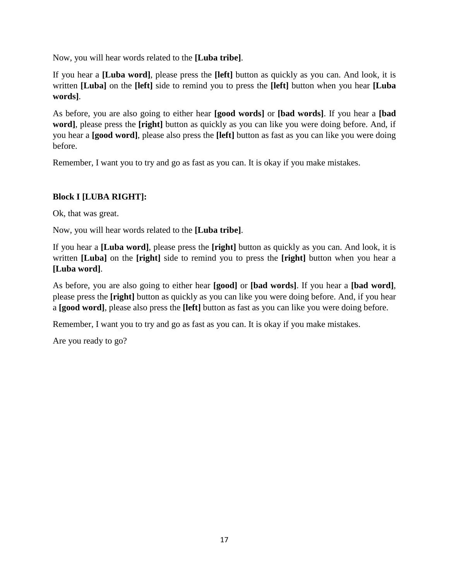Now, you will hear words related to the **[Luba tribe]**.

If you hear a **[Luba word]**, please press the **[left]** button as quickly as you can. And look, it is written **[Luba]** on the **[left]** side to remind you to press the **[left]** button when you hear **[Luba words]**.

As before, you are also going to either hear **[good words]** or **[bad words]**. If you hear a **[bad word]**, please press the **[right]** button as quickly as you can like you were doing before. And, if you hear a **[good word]**, please also press the **[left]** button as fast as you can like you were doing before.

Remember, I want you to try and go as fast as you can. It is okay if you make mistakes.

# **Block I [LUBA RIGHT]:**

Ok, that was great.

Now, you will hear words related to the **[Luba tribe]**.

If you hear a **[Luba word]**, please press the **[right]** button as quickly as you can. And look, it is written **[Luba]** on the **[right]** side to remind you to press the **[right]** button when you hear a **[Luba word]**.

As before, you are also going to either hear **[good]** or **[bad words]**. If you hear a **[bad word]**, please press the **[right]** button as quickly as you can like you were doing before. And, if you hear a **[good word]**, please also press the **[left]** button as fast as you can like you were doing before.

Remember, I want you to try and go as fast as you can. It is okay if you make mistakes.

Are you ready to go?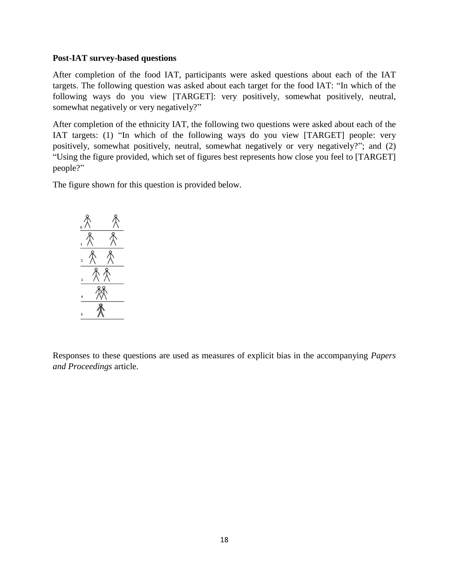#### **Post-IAT survey-based questions**

After completion of the food IAT, participants were asked questions about each of the IAT targets. The following question was asked about each target for the food IAT: "In which of the following ways do you view [TARGET]: very positively, somewhat positively, neutral, somewhat negatively or very negatively?"

After completion of the ethnicity IAT, the following two questions were asked about each of the IAT targets: (1) "In which of the following ways do you view [TARGET] people: very positively, somewhat positively, neutral, somewhat negatively or very negatively?"; and (2) "Using the figure provided, which set of figures best represents how close you feel to [TARGET] people?"

The figure shown for this question is provided below.



Responses to these questions are used as measures of explicit bias in the accompanying *Papers and Proceedings* article.